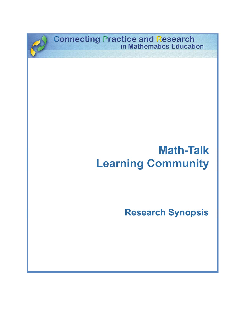**Connecting Practice and Research<br>in Mathematics Education** 

# **Math-Talk Learning Community**

**Research Synopsis**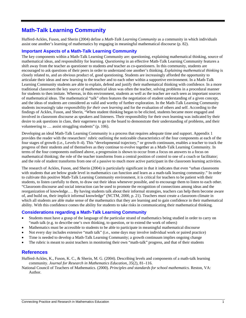## **Math-Talk Learning Community**

Hufferd-Ackles, Fuson, and Sherin (2004) define a *Math-Talk Learning Community* as a community in which individuals assist one another's learning of mathematics by engaging in meaningful mathematical discourse (p. 82).

### **Important Aspects of a Math-Talk Learning Community**

The key components within a Math-Talk Learning Community are: questioning, explaining mathematical thinking, source of mathematical ideas, and responsibility for learning. *Questioning* in an effective Math-Talk Learning Community features a shift away from the teacher as questioner to students *and* teacher as co-questioners. In this community, students are encouraged to ask questions of their peers in order to understand one another's thinking. *Explaining mathematical thinking* is closely related to, and an obvious product of, good questioning. Students are increasingly afforded the opportunity to articulate their ideas and new learning to the teacher and to each other within a supportive environment. In a Math-Talk Learning Community students are able to explain, defend and justify their mathematical thinking with confidence. In a more traditional classroom the key *source of mathematical ideas* was often the teacher, solving problems in a procedural manner for students to then imitate. Whereas, in this environment, students as well as the teacher are each seen as important sources of mathematical ideas. The mathematical "talk" often features the negotiation of student understanding of a given concept, and the ideas of students are considered as valid and worthy of further exploration. In the Math-Talk Learning Community students increasingly take *responsibility for their own learning* and for the evaluation of others and self. According to the findings of Ackles, Fuson, and Sherin, "When student thinking began to be elicited, students became more engaged and involved in classroom discourse as speakers and listeners. Their responsibility for their own learning was indicated by their desire to ask questions in class, their eagerness to go to the board to demonstrate their understanding of problems, and their volunteering to … assist struggling students" (p. 106).

Developing an ideal Math-Talk Learning Community is a process that requires adequate time and support. Appendix 1 provides the reader with the researchers' rubric outlining the noticeable characteristics of the four components at each of the four stages of growth (i.e., Levels 0–4). This "developmental trajectory," or growth continuum, enables a teacher to track the progress of their students and of themselves as they continue to evolve together as a Math-Talk Learning Community. In terms of the four components outlined above, a progression is shown to occur from a focus on answers to a focus on mathematical thinking; the role of the teacher transforms from a central position of control to one of a coach or facilitator; and the role of student transforms from one of a passive to much more active participant in the classroom learning activities.

The research of Ackles, Fuson, and Sherin (2004) is particularly significant in that it indicates that even "urban classrooms with students that are below grade level in mathematics can function and learn as a math-talk learning community." In order to cultivate this positive Math-Talk Learning Community environment, it is critical for teachers to be patient with their students, to listen carefully to them, to draw out their ideas whenever possible, and to encourage them to listen to each other. "Classroom discourse and social interaction can be used to promote the recognition of connections among ideas and the reorganization of knowledge…. By having students talk about their informal strategies, teachers can help them become aware of, and build on, their implicit informal knowledge" (NCTM, 2000, p. 21). Teachers must create a classroom climate in which all students are able make sense of the mathematics that they are learning and to gain confidence in their mathematical ability. With this confidence comes the ability for students to take risks in communicating their mathematical thinking.

#### **Considerations regarding a Math-Talk Learning Community**

- Students must have a grasp of the language of the particular strand of mathematics being studied in order to carry on "math talk (e.g. to describe one's own thinking, to question, or to extend the work of others)
- Mathematics must be accessible to students to be able to participate in meaningful mathematical discourse
- Not every day includes extensive "math talk" (i.e., some days may involve individual work or paired practice)
- Time is needed to develop a Math-Talk Learning Community; a growth continuum implies ongoing change
- The rubric is meant to assist teachers in monitoring their own "math-talk" progress, and that of their students

#### **References**

Hufferd-Ackles, K., Fuson, K. C., & Sherin, M. G. (2004). Describing levels and components of a math-talk learning community. *Journal for Research in Mathematics Education, 35*(2), 81–116.

National Council of Teachers of Mathematics. (2000). *Principles and standards for school mathematics.* Reston, VA: Author.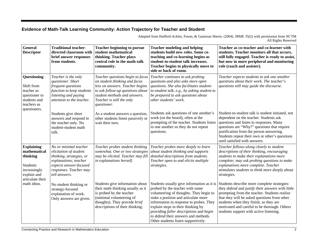## **Evidence of Math-Talk Learning Community: Action Trajectory for Teacher and Student**

| Adapted from Hufferd-Ackles, Fuson, & Gamoran Sherin. (2004). JRME 35(2) with permission from NCTM |  |                     |
|----------------------------------------------------------------------------------------------------|--|---------------------|
|                                                                                                    |  | All Rights Reserved |

| <b>General</b><br><b>Descriptor</b>                                                                                                | <b>Traditional teacher-</b><br>directed classroom with<br>brief answer responses<br>from students.                                                                        | <b>Teacher beginning to pursue</b><br>student mathematical<br>thinking. Teacher plays<br>central role in the math-talk<br>community.                                                                                 | <b>Teacher modeling and helping</b><br>students build new roles. Some co-<br>teaching and co-learning begins as<br>student-to-student talk increases.<br>Teacher begins to physically move to<br>side or back of room.                                                                                                        | Teacher as co-teacher and co-learner with<br>students. Teacher monitors all that occurs,<br>still fully engaged. Teacher is ready to assist,<br>but now in more peripheral and monitoring<br>role (coach and assister).                                                                                                                                                                 |
|------------------------------------------------------------------------------------------------------------------------------------|---------------------------------------------------------------------------------------------------------------------------------------------------------------------------|----------------------------------------------------------------------------------------------------------------------------------------------------------------------------------------------------------------------|-------------------------------------------------------------------------------------------------------------------------------------------------------------------------------------------------------------------------------------------------------------------------------------------------------------------------------|-----------------------------------------------------------------------------------------------------------------------------------------------------------------------------------------------------------------------------------------------------------------------------------------------------------------------------------------------------------------------------------------|
| Questioning<br>Shift from<br>teacher as<br>questioner to<br>students and<br>teachers as<br>questioners.                            | Teacher is the only<br>questioner. Short<br>frequent questions<br>function to keep students<br>listening and paying<br>attention to the teacher.                          | Teacher questions begin to focus<br>on student thinking and focus<br>less on answers. Teacher begins<br>to ask follow-up questions about<br>student methods and answers.<br>Teacher is still the only<br>questioner. | Teacher continues to ask probing<br>questions and also asks more open<br>questions. She also facilitates student-<br>to-student talk, e.g., by asking student to<br>be prepared to ask questions about<br>other students' work.                                                                                               | Teacher expects students to ask one another<br>questions about their work. The teacher's<br>questions still may guide the discourse.                                                                                                                                                                                                                                                    |
|                                                                                                                                    | Students give short<br>answers and respond to<br>the teacher only. No<br>student-student math<br>talk.                                                                    | As a student answers a question,<br>other students listen passively or<br>wait their turn.                                                                                                                           | Students ask questions of one another's<br>work (on the board), often at the<br>prompting of the teacher. Students listen<br>to one another so they do not repeat<br>questions.                                                                                                                                               | Student-to-student talk is student initiated, not<br>dependent on the teacher. Students ask<br>questions and listen to responses. Many<br>questions are "Why?" questions that require<br>justification from the person answering.<br>Students repeat their own or other's questions<br>until satisfied with answers.                                                                    |
| <b>Explaining</b><br>mathematical<br>thinking<br><b>Students</b><br>increasingly<br>explain and<br>articulate their<br>math ideas. | No or minimal teacher<br>elicitation of student<br>thinking, strategies, or<br>explanations; teacher<br>expects answer-focused<br>responses. Teacher may<br>tell answers. | Teacher probes student thinking<br>somewhat. One or two strategies<br>may be elicited. Teacher may fill<br>in explanations herself.                                                                                  | Teacher probes more deeply to learn<br>about student thinking and supports<br>detailed descriptions from students.<br>Teacher open to and elicits multiple<br>strategies.                                                                                                                                                     | Teacher follows along closely to student<br>descriptions of their thinking, encouraging<br>students to make their explanations more<br>complete; may ask probing questions to make<br>explanations more complete. Teacher<br>stimulates students to think more deeply about<br>strategies.                                                                                              |
|                                                                                                                                    | No student thinking or<br>strategy-focused<br>explanation of work.<br>Only answers are given.                                                                             | Students give information about<br>their math thinking usually as it<br>is probed by the teacher<br>(minimal volunteering of<br>thoughts). They provide brief<br>descriptions of their thinking.                     | probed by the teacher with some<br>volunteering of thoughts. They begin to<br>stake a position and articulate more<br>information in response to probes. They<br>explain steps in their thinking by<br>providing fuller descriptions and begin<br>to defend their answers and methods.<br>Other students listen supportively. | Students usually give information as it is Students describe more complete strategies:<br>they <i>defend</i> and justify their answers with little<br>prompting from the teacher. Students realize<br>that they will be asked questions from other<br>students when they finish, so they are<br>motivated and careful to be thorough. Others<br>students support with active listening. |